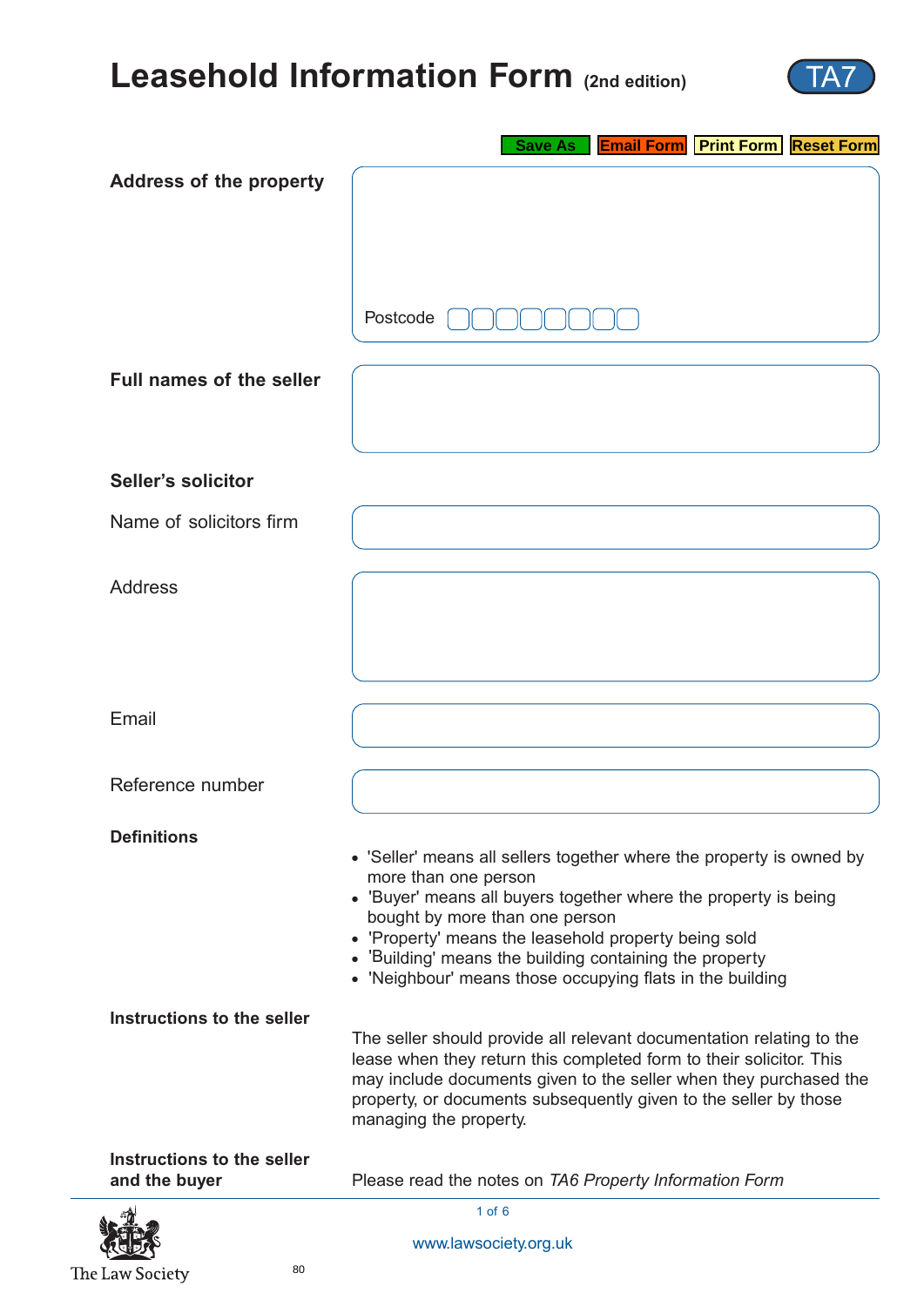## **Leasehold Information Form (2nd edition)**



|                                             | Save As                                                                                                                                                                                                                                                                                                                                                                           | <b>Email Form</b> | <b>Print Form</b> | <b>Reset Form</b> |
|---------------------------------------------|-----------------------------------------------------------------------------------------------------------------------------------------------------------------------------------------------------------------------------------------------------------------------------------------------------------------------------------------------------------------------------------|-------------------|-------------------|-------------------|
| <b>Address of the property</b>              |                                                                                                                                                                                                                                                                                                                                                                                   |                   |                   |                   |
|                                             | Postcode                                                                                                                                                                                                                                                                                                                                                                          |                   |                   |                   |
| Full names of the seller                    |                                                                                                                                                                                                                                                                                                                                                                                   |                   |                   |                   |
| Seller's solicitor                          |                                                                                                                                                                                                                                                                                                                                                                                   |                   |                   |                   |
| Name of solicitors firm                     |                                                                                                                                                                                                                                                                                                                                                                                   |                   |                   |                   |
| <b>Address</b>                              |                                                                                                                                                                                                                                                                                                                                                                                   |                   |                   |                   |
| Email                                       |                                                                                                                                                                                                                                                                                                                                                                                   |                   |                   |                   |
| Reference number                            |                                                                                                                                                                                                                                                                                                                                                                                   |                   |                   |                   |
| <b>Definitions</b>                          | • 'Seller' means all sellers together where the property is owned by<br>more than one person<br>• 'Buyer' means all buyers together where the property is being<br>bought by more than one person<br>• 'Property' means the leasehold property being sold<br>• 'Building' means the building containing the property<br>• 'Neighbour' means those occupying flats in the building |                   |                   |                   |
| Instructions to the seller                  | The seller should provide all relevant documentation relating to the<br>lease when they return this completed form to their solicitor. This<br>may include documents given to the seller when they purchased the<br>property, or documents subsequently given to the seller by those<br>managing the property.                                                                    |                   |                   |                   |
| Instructions to the seller<br>and the buyer | Please read the notes on TA6 Property Information Form                                                                                                                                                                                                                                                                                                                            |                   |                   |                   |
|                                             | $1$ of $6$                                                                                                                                                                                                                                                                                                                                                                        |                   |                   |                   |
|                                             | www.lawsociety.org.uk                                                                                                                                                                                                                                                                                                                                                             |                   |                   |                   |

The Law Society

80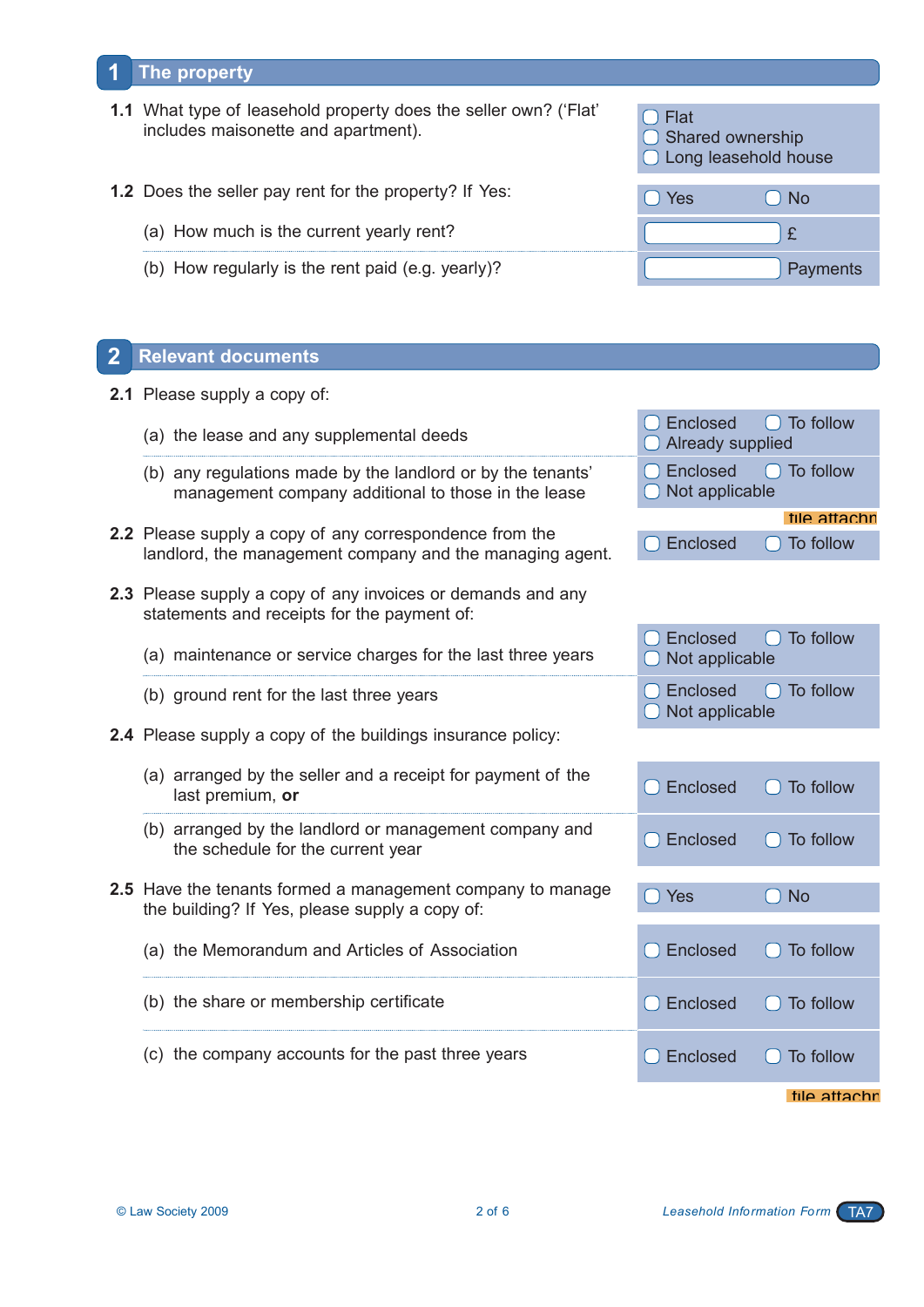**1 The property**

- **1.1** What type of leasehold property does the seller own? ('Flat' includes maisonette and apartment).
- **1.2** Does the seller pay rent for the property? If Yes:
	- (a) How much is the current yearly rent?
	- (b) How regularly is the rent paid (e.g. yearly)?

#### **2 Relevant documents**

**2.1** Please supply a copy of:

| (a) the lease and any supplemental deeds                                                                            | Enclosed<br>Already supplied         | To follow |
|---------------------------------------------------------------------------------------------------------------------|--------------------------------------|-----------|
| (b) any regulations made by the landlord or by the tenants'<br>management company additional to those in the lease  | Enclosed<br>$\Box$<br>Not applicable | To follow |
| 2.2 Please supply a copy of any correspondence from the<br>landlord, the management company and the managing agent. | Enclosed                             | To follow |
| 2.3 Please supply a copy of any invoices or demands and any<br>statements and receipts for the payment of:          |                                      |           |
| (a) maintenance or service charges for the last three years                                                         | Enclosed<br>Not applicable           | To follow |
| (b) ground rent for the last three years                                                                            | Enclosed<br>Not applicable           | To follow |
| 2.4 Please supply a copy of the buildings insurance policy:                                                         |                                      |           |
| (a) arranged by the seller and a receipt for payment of the<br>last premium, or                                     | Enclosed                             | To follow |
| (b) arranged by the landlord or management company and<br>the schedule for the current year                         | Enclosed                             | To follow |
| 2.5 Have the tenants formed a management company to manage<br>the building? If Yes, please supply a copy of:        | <b>Yes</b><br><b>No</b><br>$\Box$    |           |
| (a) the Memorandum and Articles of Association                                                                      | Enclosed                             | To follow |
|                                                                                                                     |                                      |           |
| (b) the share or membership certificate                                                                             | Enclosed                             | To follow |

| ○ Flat<br>◯ Shared ownership<br>◯ Long leasehold house |              |
|--------------------------------------------------------|--------------|
| ∩ Yes                                                  | ()No         |
|                                                        | $\mathbf{f}$ |
|                                                        | Payments     |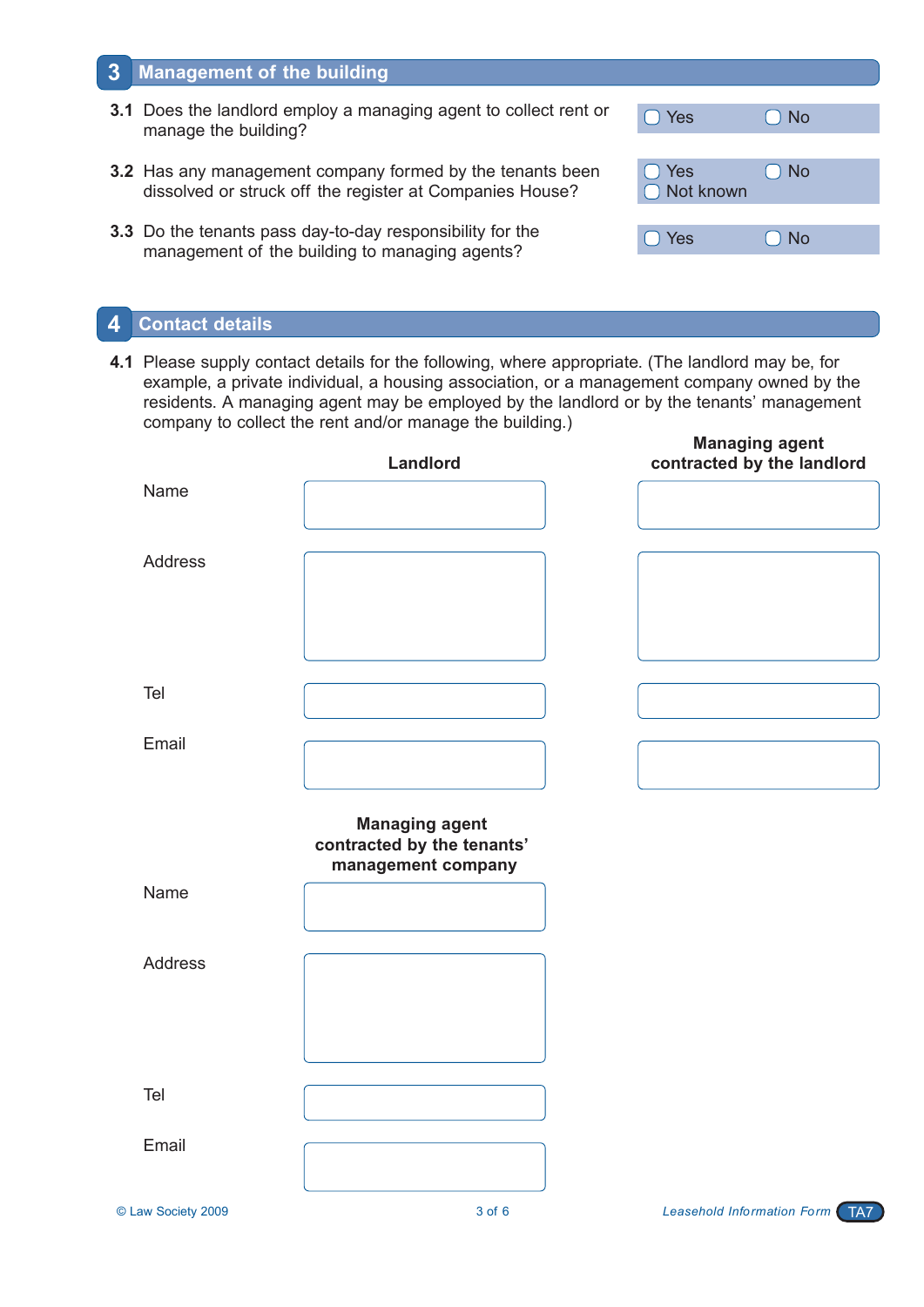#### **3 Management of the building**

- **3.1** Does the landlord employ a managing agent to collect rent or manage the building?
- **3.2** Has any management company formed by the tenants been dissolved or struck off the register at Companies House?
- **3.3** Do the tenants pass day-to-day responsibility for the management of the building to managing agents?

#### **4 Contact details**

**4.1** Please supply contact details for the following, where appropriate. (The landlord may be, for example, a private individual, a housing association, or a management company owned by the residents. A managing agent may be employed by the landlord or by the tenants' management company to collect the rent and/or manage the building.)

|                    | Landlord                                                                  | contracted by the landlord       |
|--------------------|---------------------------------------------------------------------------|----------------------------------|
| Name               |                                                                           |                                  |
| Address            |                                                                           |                                  |
|                    |                                                                           |                                  |
|                    |                                                                           |                                  |
| Tel                |                                                                           |                                  |
| Email              |                                                                           |                                  |
|                    | <b>Managing agent</b><br>contracted by the tenants'<br>management company |                                  |
| Name               |                                                                           |                                  |
| Address            |                                                                           |                                  |
|                    |                                                                           |                                  |
| Tel                |                                                                           |                                  |
| Email              |                                                                           |                                  |
| © Law Society 2009 | 3 of 6                                                                    | Leasehold Information Form [TA7] |

**Managing agent** 

O Yes O No

No No

Not known

Res No

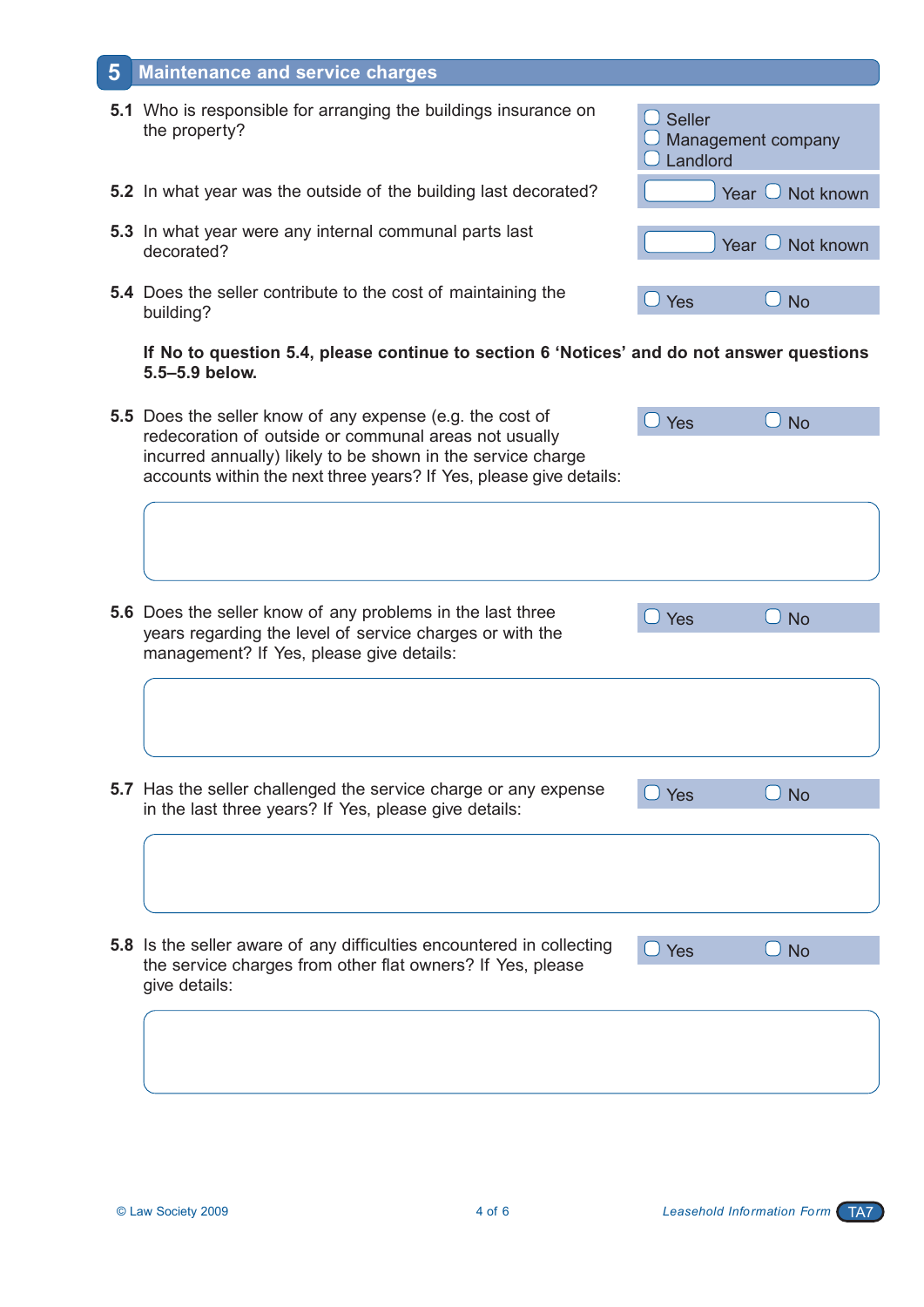#### **5 Maintenance and service charges**

- **5.1** Who is responsible for arranging the buildings insurance on the property?
- **5.2** In what year was the outside of the building last decorated?
- **5.3** In what year were any internal communal parts last decorated?
- **5.4** Does the seller contribute to the cost of maintaining the building?

**If No to question 5.4, please continue to section 6 'Notices' and do not answer questions 5.5–5.9 below.**

- **5.5** Does the seller know of any expense (e.g. the cost of redecoration of outside or communal areas not usually incurred annually) likely to be shown in the service charge accounts w
- **5.6** Does the seller years regar manageme
- **5.7** Has the se in the last the
- **5.8** Is the selle the service give details:

| $\cup$ Seller<br>$\bigcirc$ Management company<br>$\bigcup$ Landlord |                  |  |
|----------------------------------------------------------------------|------------------|--|
|                                                                      | Year O Not known |  |
|                                                                      | Year O Not known |  |
|                                                                      |                  |  |

 $\Box$  Yes  $\Box$  No

| vithin the next three years? If Yes, please give details:                                               |            |              |  |
|---------------------------------------------------------------------------------------------------------|------------|--------------|--|
|                                                                                                         |            |              |  |
|                                                                                                         |            |              |  |
| eller know of any problems in the last three<br>rding the level of service charges or with the          | <b>Yes</b> | $\bigcup$ No |  |
| ent? If Yes, please give details:                                                                       |            |              |  |
|                                                                                                         |            |              |  |
|                                                                                                         |            |              |  |
|                                                                                                         |            |              |  |
| Iler challenged the service charge or any expense<br>three years? If Yes, please give details:          | $\Box$ Yes | $\bigcup$ No |  |
|                                                                                                         |            |              |  |
|                                                                                                         |            |              |  |
|                                                                                                         |            |              |  |
|                                                                                                         |            |              |  |
| r aware of any difficulties encountered in collecting<br>charges from other flat owners? If Yes, please | $\cup$ Yes | $\bigcup$ No |  |
| ś.                                                                                                      |            |              |  |

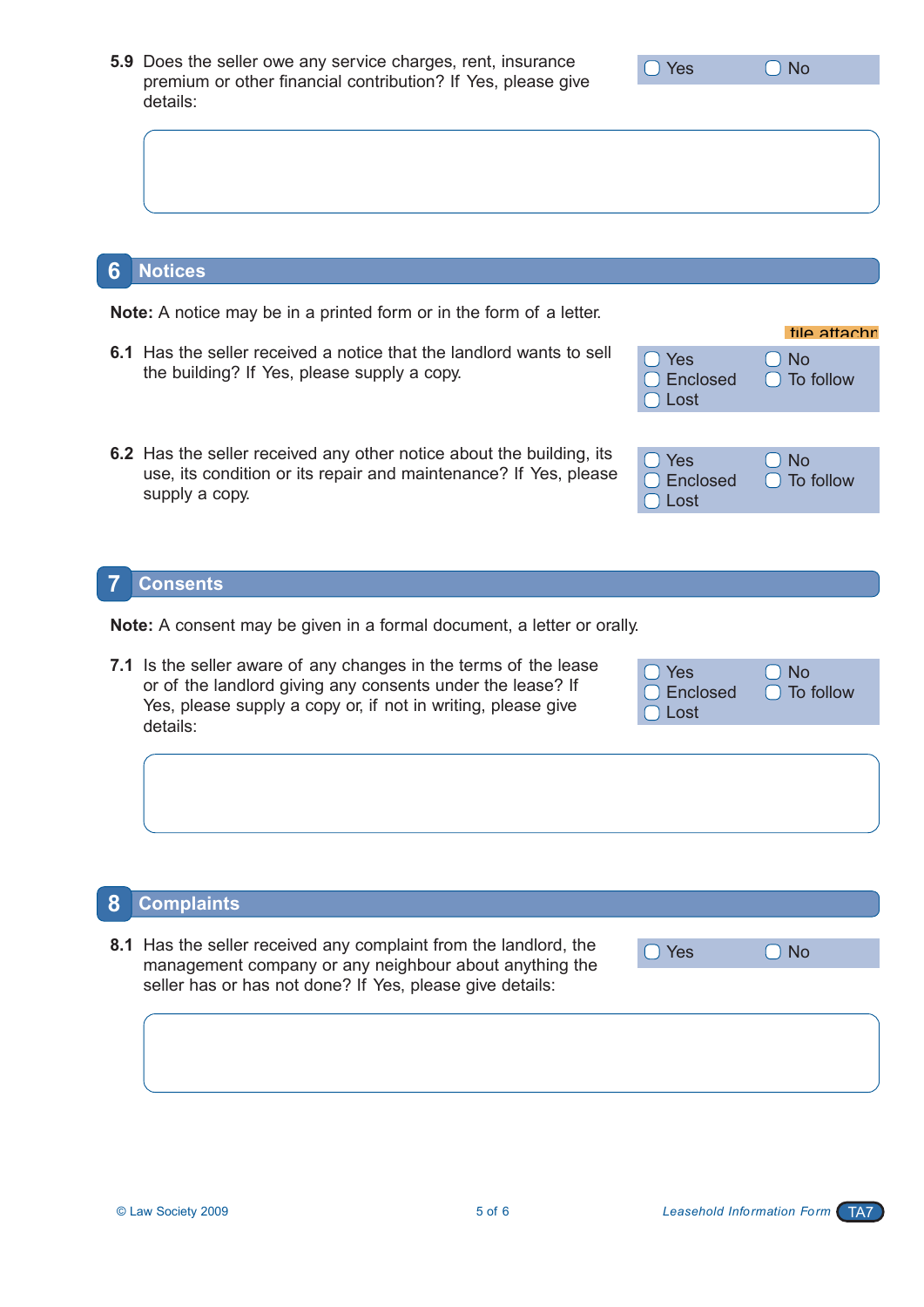#### **5.9** Does the seller owe any service charges, rent, insurance premium or other financial contribution? If Yes, please give details:

**6 Notices**

**Note:** A notice may be in a printed form or in the form of a letter.

- **6.1** Has the seller received a notice that the landlord wants to sell the building? If Yes, please supply a copy.
- **6.2** Has the seller received any other notice about the building, its use, its condition or its repair and maintenance? If Yes, please supply a copy.

#### **7 Consents**

**Note:** A consent may be given in a formal document, a letter or orally.

**7.1** Is the seller aware of any changes in the terms of the lease or of the landlord giving any consents under the lease? If Yes, please supply a copy or, if not in writing, please give details:

| $\bigcap$ Yes | $( )$ No            |
|---------------|---------------------|
| ( ) Enclosed  | $\bigcap$ To follow |
| $()$ Lost     |                     |
|               |                     |

### **8 Complaints**

**8.1** Has the seller received any complaint from the landlord, the management company or any neighbour about anything the seller has or has not done? If Yes, please give details:

| $\bigcap$ Yes | $\bigcap$ No |
|---------------|--------------|
|               |              |





res No ◯ Enclosed ◯ To follow

Lost